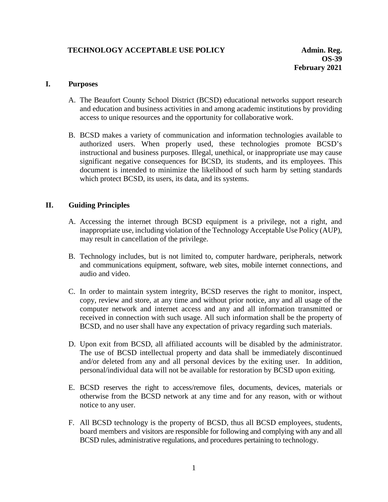# **TECHNOLOGY ACCEPTABLE USE POLICY And Admin. Reg. Admin. Reg.**

#### **I. Purposes**

- A. The Beaufort County School District (BCSD) educational networks support research and education and business activities in and among academic institutions by providing access to unique resources and the opportunity for collaborative work.
- B. BCSD makes a variety of communication and information technologies available to authorized users. When properly used, these technologies promote BCSD's instructional and business purposes. Illegal, unethical, or inappropriate use may cause significant negative consequences for BCSD, its students, and its employees. This document is intended to minimize the likelihood of such harm by setting standards which protect BCSD, its users, its data, and its systems.

#### **II. Guiding Principles**

- A. Accessing the internet through BCSD equipment is a privilege, not a right, and inappropriate use, including violation of the Technology Acceptable Use Policy (AUP), may result in cancellation of the privilege.
- B. Technology includes, but is not limited to, computer hardware, peripherals, network and communications equipment, software, web sites, mobile internet connections, and audio and video.
- C. In order to maintain system integrity, BCSD reserves the right to monitor, inspect, copy, review and store, at any time and without prior notice, any and all usage of the computer network and internet access and any and all information transmitted or received in connection with such usage. All such information shall be the property of BCSD, and no user shall have any expectation of privacy regarding such materials.
- D. Upon exit from BCSD, all affiliated accounts will be disabled by the administrator. The use of BCSD intellectual property and data shall be immediately discontinued and/or deleted from any and all personal devices by the exiting user. In addition, personal/individual data will not be available for restoration by BCSD upon exiting.
- E. BCSD reserves the right to access/remove files, documents, devices, materials or otherwise from the BCSD network at any time and for any reason, with or without notice to any user.
- F. All BCSD technology is the property of BCSD, thus all BCSD employees, students, board members and visitors are responsible for following and complying with any and all BCSD rules, administrative regulations, and procedures pertaining to technology.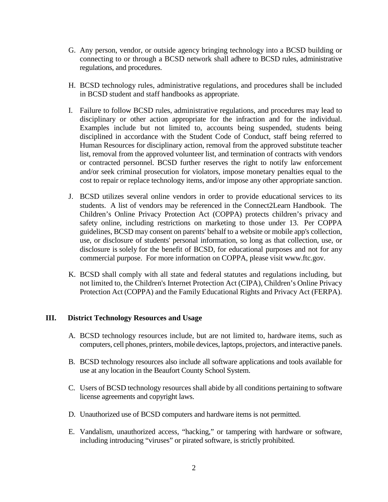- G. Any person, vendor, or outside agency bringing technology into a BCSD building or connecting to or through a BCSD network shall adhere to BCSD rules, administrative regulations, and procedures.
- H. BCSD technology rules, administrative regulations, and procedures shall be included in BCSD student and staff handbooks as appropriate.
- I. Failure to follow BCSD rules, administrative regulations, and procedures may lead to disciplinary or other action appropriate for the infraction and for the individual. Examples include but not limited to, accounts being suspended, students being disciplined in accordance with the Student Code of Conduct, staff being referred to Human Resources for disciplinary action, removal from the approved substitute teacher list, removal from the approved volunteer list, and termination of contracts with vendors or contracted personnel. BCSD further reserves the right to notify law enforcement and/or seek criminal prosecution for violators, impose monetary penalties equal to the cost to repair or replace technology items, and/or impose any other appropriate sanction.
- J. BCSD utilizes several online vendors in order to provide educational services to its students. A list of vendors may be referenced in the Connect2Learn Handbook. The Children's Online Privacy Protection Act (COPPA) protects children's privacy and safety online, including restrictions on marketing to those under 13. Per COPPA guidelines, BCSD may consent on parents' behalf to a website or mobile app's collection, use, or disclosure of students' personal information, so long as that collection, use, or disclosure is solely for the benefit of BCSD, for educational purposes and not for any commercial purpose. For more information on COPPA, please visit [www.ftc.gov.](http://www.ftc.gov/)
- K. BCSD shall comply with all state and federal statutes and regulations including, but not limited to, the Children's Internet Protection Act (CIPA), Children's Online Privacy Protection Act (COPPA) and the Family Educational Rights and Privacy Act (FERPA).

## **III. District Technology Resources and Usage**

- A. BCSD technology resources include, but are not limited to, hardware items, such as computers, cell phones, printers, mobile devices, laptops, projectors, and interactive panels.
- B. BCSD technology resources also include all software applications and tools available for use at any location in the Beaufort County School System.
- C. Users of BCSD technology resources shall abide by all conditions pertaining to software license agreements and copyright laws.
- D. Unauthorized use of BCSD computers and hardware items is not permitted.
- E. Vandalism, unauthorized access, "hacking," or tampering with hardware or software, including introducing "viruses" or pirated software, is strictly prohibited.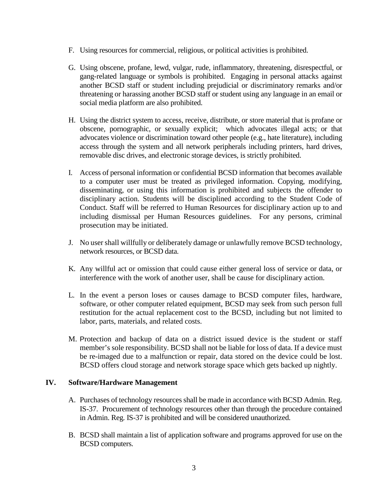- F. Using resources for commercial, religious, or political activities is prohibited.
- G. Using obscene, profane, lewd, vulgar, rude, inflammatory, threatening, disrespectful, or gang-related language or symbols is prohibited. Engaging in personal attacks against another BCSD staff or student including prejudicial or discriminatory remarks and/or threatening or harassing another BCSD staff or student using any language in an email or social media platform are also prohibited.
- H. Using the district system to access, receive, distribute, or store material that is profane or obscene, pornographic, or sexually explicit; which advocates illegal acts; or that advocates violence or discrimination toward other people (e.g., hate literature), including access through the system and all network peripherals including printers, hard drives, removable disc drives, and electronic storage devices, is strictly prohibited.
- I. Access of personal information or confidential BCSD information that becomes available to a computer user must be treated as privileged information. Copying, modifying, disseminating, or using this information is prohibited and subjects the offender to disciplinary action. Students will be disciplined according to the Student Code of Conduct. Staff will be referred to Human Resources for disciplinary action up to and including dismissal per Human Resources guidelines. For any persons, criminal prosecution may be initiated.
- J. No user shall willfully or deliberately damage or unlawfully remove BCSD technology, network resources, or BCSD data.
- K. Any willful act or omission that could cause either general loss of service or data, or interference with the work of another user, shall be cause for disciplinary action.
- L. In the event a person loses or causes damage to BCSD computer files, hardware, software, or other computer related equipment, BCSD may seek from such person full restitution for the actual replacement cost to the BCSD, including but not limited to labor, parts, materials, and related costs.
- M. Protection and backup of data on a district issued device is the student or staff member's sole responsibility. BCSD shall not be liable for loss of data. If a device must be re-imaged due to a malfunction or repair, data stored on the device could be lost. BCSD offers cloud storage and network storage space which gets backed up nightly.

## **IV. Software/Hardware Management**

- A. Purchases of technology resources shall be made in accordance with BCSD Admin. Reg. IS-37. Procurement of technology resources other than through the procedure contained in Admin. Reg. IS-37 is prohibited and will be considered unauthorized.
- B. BCSD shall maintain a list of application software and programs approved for use on the BCSD computers.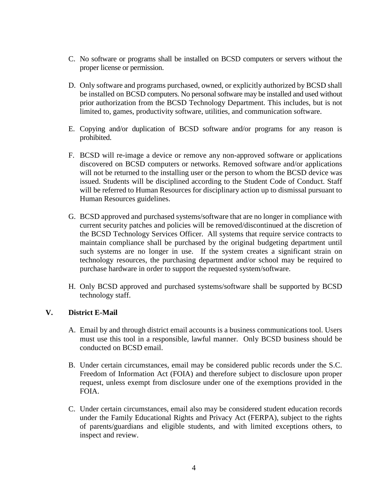- C. No software or programs shall be installed on BCSD computers or servers without the proper license or permission.
- D. Only software and programs purchased, owned, or explicitly authorized by BCSD shall be installed on BCSD computers. No personal software may be installed and used without prior authorization from the BCSD Technology Department. This includes, but is not limited to, games, productivity software, utilities, and communication software.
- E. Copying and/or duplication of BCSD software and/or programs for any reason is prohibited.
- F. BCSD will re-image a device or remove any non-approved software or applications discovered on BCSD computers or networks. Removed software and/or applications will not be returned to the installing user or the person to whom the BCSD device was issued. Students will be disciplined according to the Student Code of Conduct. Staff will be referred to Human Resources for disciplinary action up to dismissal pursuant to Human Resources guidelines.
- G. BCSD approved and purchased systems/software that are no longer in compliance with current security patches and policies will be removed/discontinued at the discretion of the BCSD Technology Services Officer. All systems that require service contracts to maintain compliance shall be purchased by the original budgeting department until such systems are no longer in use. If the system creates a significant strain on technology resources, the purchasing department and/or school may be required to purchase hardware in order to support the requested system/software.
- H. Only BCSD approved and purchased systems/software shall be supported by BCSD technology staff.

## **V. District E-Mail**

- A. Email by and through district email accounts is a business communications tool. Users must use this tool in a responsible, lawful manner. Only BCSD business should be conducted on BCSD email.
- B. Under certain circumstances, email may be considered public records under the S.C. Freedom of Information Act (FOIA) and therefore subject to disclosure upon proper request, unless exempt from disclosure under one of the exemptions provided in the FOIA.
- C. Under certain circumstances, email also may be considered student education records under the Family Educational Rights and Privacy Act (FERPA), subject to the rights of parents/guardians and eligible students, and with limited exceptions others, to inspect and review.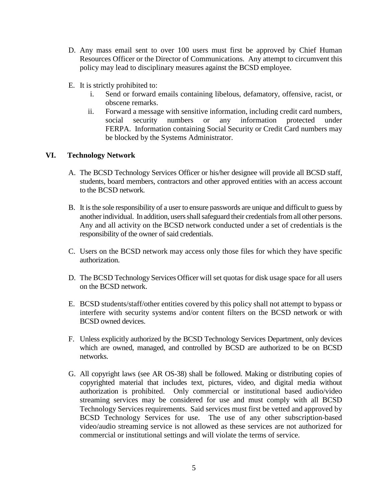- D. Any mass email sent to over 100 users must first be approved by Chief Human Resources Officer or the Director of Communications. Any attempt to circumvent this policy may lead to disciplinary measures against the BCSD employee.
- E. It is strictly prohibited to:
	- i. Send or forward emails containing libelous, defamatory, offensive, racist, or obscene remarks.
	- ii. Forward a message with sensitive information, including credit card numbers, social security numbers or any information protected under FERPA. Information containing Social Security or Credit Card numbers may be blocked by the Systems Administrator.

# **VI. Technology Network**

- A. The BCSD Technology Services Officer or his/her designee will provide all BCSD staff, students, board members, contractors and other approved entities with an access account to the BCSD network.
- B. It is the sole responsibility of a user to ensure passwords are unique and difficult to guess by another individual. In addition, users shall safeguard their credentials from all other persons. Any and all activity on the BCSD network conducted under a set of credentials is the responsibility of the owner of said credentials.
- C. Users on the BCSD network may access only those files for which they have specific authorization.
- D. The BCSD Technology Services Officer will set quotas for disk usage space for all users on the BCSD network.
- E. BCSD students/staff/other entities covered by this policy shall not attempt to bypass or interfere with security systems and/or content filters on the BCSD network or with BCSD owned devices.
- F. Unless explicitly authorized by the BCSD Technology Services Department, only devices which are owned, managed, and controlled by BCSD are authorized to be on BCSD networks.
- G. All copyright laws (see AR OS-38) shall be followed. Making or distributing copies of copyrighted material that includes text, pictures, video, and digital media without authorization is prohibited. Only commercial or institutional based audio/video streaming services may be considered for use and must comply with all BCSD Technology Services requirements. Said services must first be vetted and approved by BCSD Technology Services for use. The use of any other subscription-based video/audio streaming service is not allowed as these services are not authorized for commercial or institutional settings and will violate the terms of service.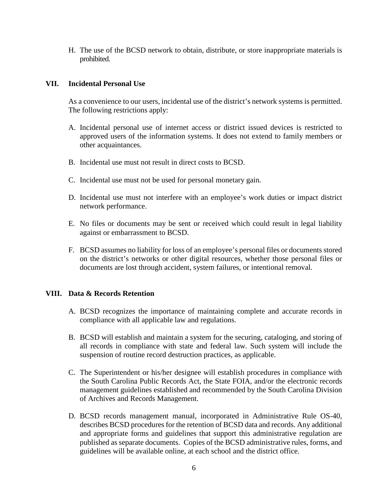H. The use of the BCSD network to obtain, distribute, or store inappropriate materials is prohibited.

## **VII. Incidental Personal Use**

As a convenience to our users, incidental use of the district's network systems is permitted. The following restrictions apply:

- A. Incidental personal use of internet access or district issued devices is restricted to approved users of the information systems. It does not extend to family members or other acquaintances.
- B. Incidental use must not result in direct costs to BCSD.
- C. Incidental use must not be used for personal monetary gain.
- D. Incidental use must not interfere with an employee's work duties or impact district network performance.
- E. No files or documents may be sent or received which could result in legal liability against or embarrassment to BCSD.
- F. BCSD assumes no liability for loss of an employee's personal files or documents stored on the district's networks or other digital resources, whether those personal files or documents are lost through accident, system failures, or intentional removal.

#### **VIII. Data & Records Retention**

- A. BCSD recognizes the importance of maintaining complete and accurate records in compliance with all applicable law and regulations.
- B. BCSD will establish and maintain a system for the securing, cataloging, and storing of all records in compliance with state and federal law. Such system will include the suspension of routine record destruction practices, as applicable.
- C. The Superintendent or his/her designee will establish procedures in compliance with the South Carolina Public Records Act, the State FOIA, and/or the electronic records management guidelines established and recommended by the South Carolina Division of Archives and Records Management.
- D. BCSD records management manual, incorporated in Administrative Rule OS-40, describes BCSD procedures for the retention of BCSD data and records. Any additional and appropriate forms and guidelines that support this administrative regulation are published as separate documents. Copies of the BCSD administrative rules, forms, and guidelines will be available online, at each school and the district office.